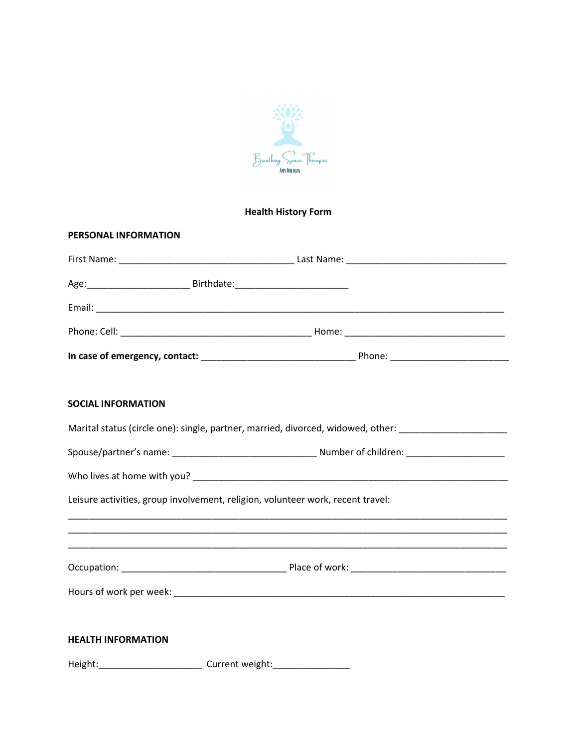

## **Health History Form**

| PERSONAL INFORMATION      |                                                                                                      |
|---------------------------|------------------------------------------------------------------------------------------------------|
|                           |                                                                                                      |
|                           | Age: __________________________________ Birthdate: _____________________________                     |
|                           |                                                                                                      |
|                           |                                                                                                      |
|                           |                                                                                                      |
| <b>SOCIAL INFORMATION</b> |                                                                                                      |
|                           | Marital status (circle one): single, partner, married, divorced, widowed, other: ___________________ |
|                           |                                                                                                      |
|                           |                                                                                                      |
|                           | Leisure activities, group involvement, religion, volunteer work, recent travel:                      |
|                           |                                                                                                      |
|                           |                                                                                                      |
|                           |                                                                                                      |
| <b>HEALTH INFORMATION</b> |                                                                                                      |
|                           | Height:_____________________________Current weight:_____________________________                     |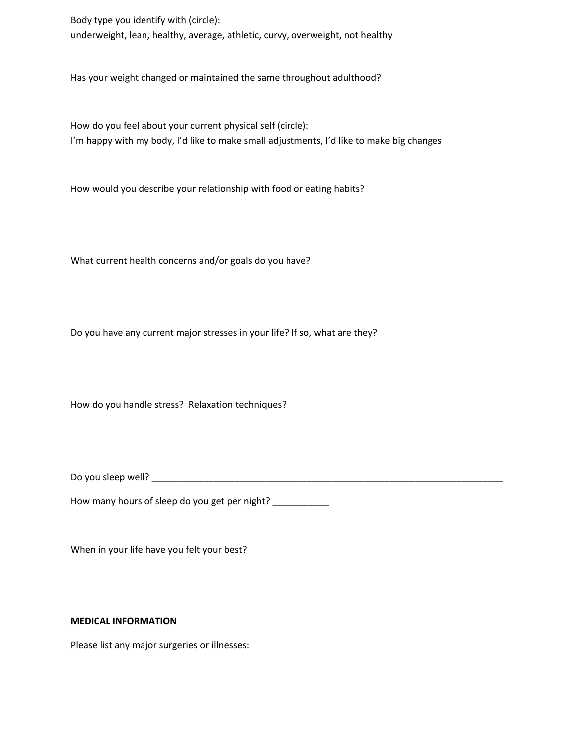Body type you identify with (circle): underweight, lean, healthy, average, athletic, curvy, overweight, not healthy

Has your weight changed or maintained the same throughout adulthood?

How do you feel about your current physical self (circle): I'm happy with my body, I'd like to make small adjustments, I'd like to make big changes

How would you describe your relationship with food or eating habits?

What current health concerns and/or goals do you have?

Do you have any current major stresses in your life? If so, what are they?

How do you handle stress? Relaxation techniques?

Do you sleep well? \_\_\_\_\_\_\_\_\_\_\_\_\_\_\_\_\_\_\_\_\_\_\_\_\_\_\_\_\_\_\_\_\_\_\_\_\_\_\_\_\_\_\_\_\_\_\_\_\_\_\_\_\_\_\_\_\_\_\_\_\_\_\_\_\_\_\_\_

How many hours of sleep do you get per night?

When in your life have you felt your best?

## **MEDICAL INFORMATION**

Please list any major surgeries or illnesses: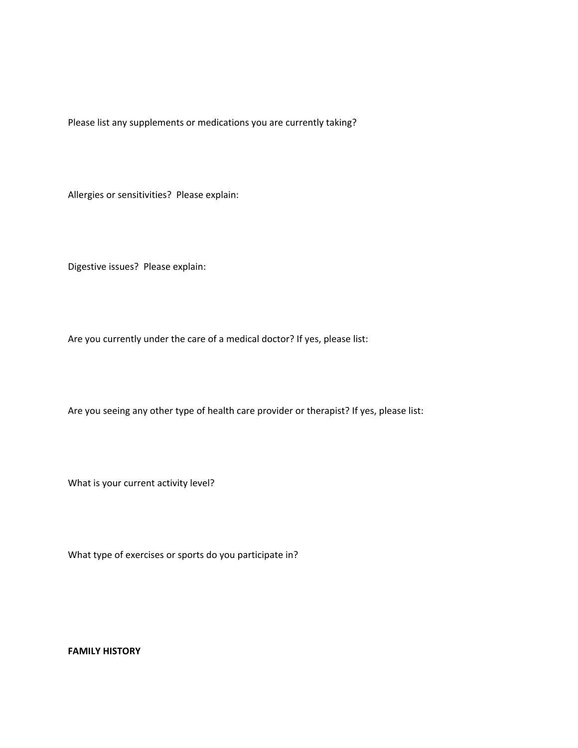Please list any supplements or medications you are currently taking?

Allergies or sensitivities? Please explain:

Digestive issues? Please explain:

Are you currently under the care of a medical doctor? If yes, please list:

Are you seeing any other type of health care provider or therapist? If yes, please list:

What is your current activity level?

What type of exercises or sports do you participate in?

**FAMILY HISTORY**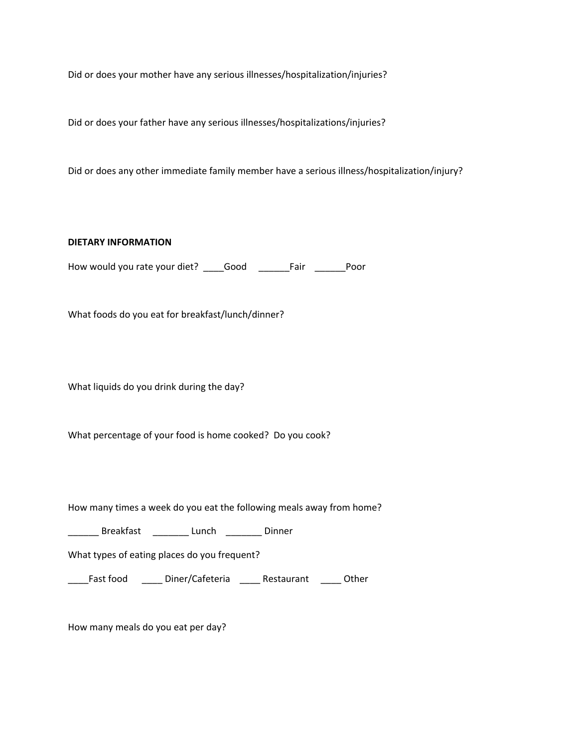Did or does your mother have any serious illnesses/hospitalization/injuries?

Did or does your father have any serious illnesses/hospitalizations/injuries?

Did or does any other immediate family member have a serious illness/hospitalization/injury?

**DIETARY INFORMATION**

How would you rate your diet? \_\_\_\_Good \_\_\_\_\_\_Fair \_\_\_\_\_\_Poor

What foods do you eat for breakfast/lunch/dinner?

What liquids do you drink during the day?

What percentage of your food is home cooked? Do you cook?

How many times a week do you eat the following meals away from home?

\_\_\_\_\_\_ Breakfast \_\_\_\_\_\_\_ Lunch \_\_\_\_\_\_\_ Dinner

What types of eating places do you frequent?

\_\_\_\_Fast food \_\_\_\_ Diner/Cafeteria \_\_\_\_ Restaurant \_\_\_\_ Other

How many meals do you eat per day?